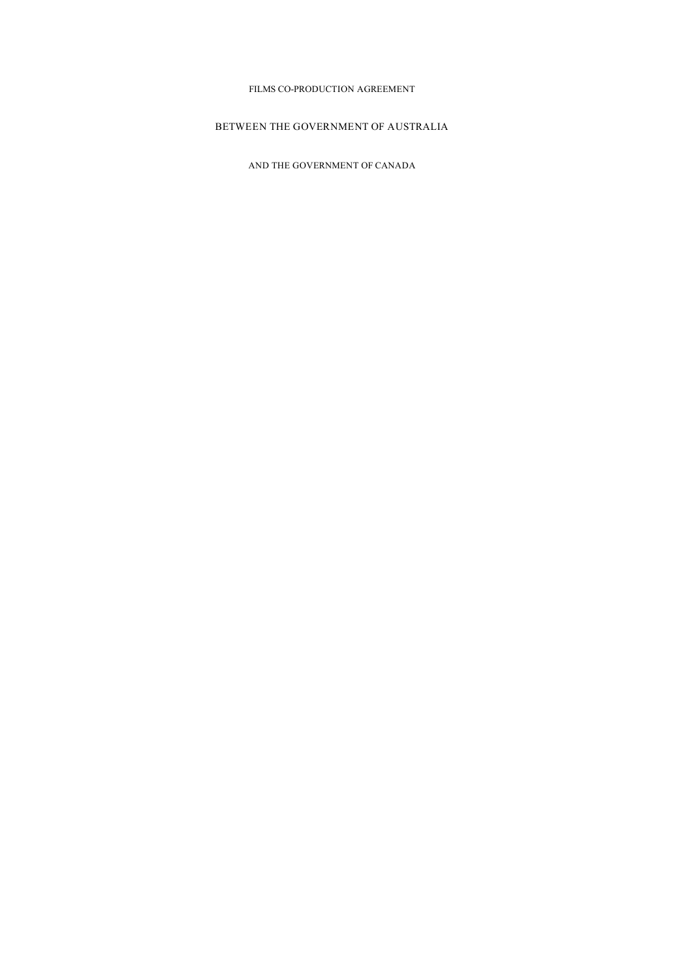### FILMS CO-PRODUCTION AGREEMENT

# BETWEEN THE GOVERNMENT OF AUSTRALIA

AND THE GOVERNMENT OF CANADA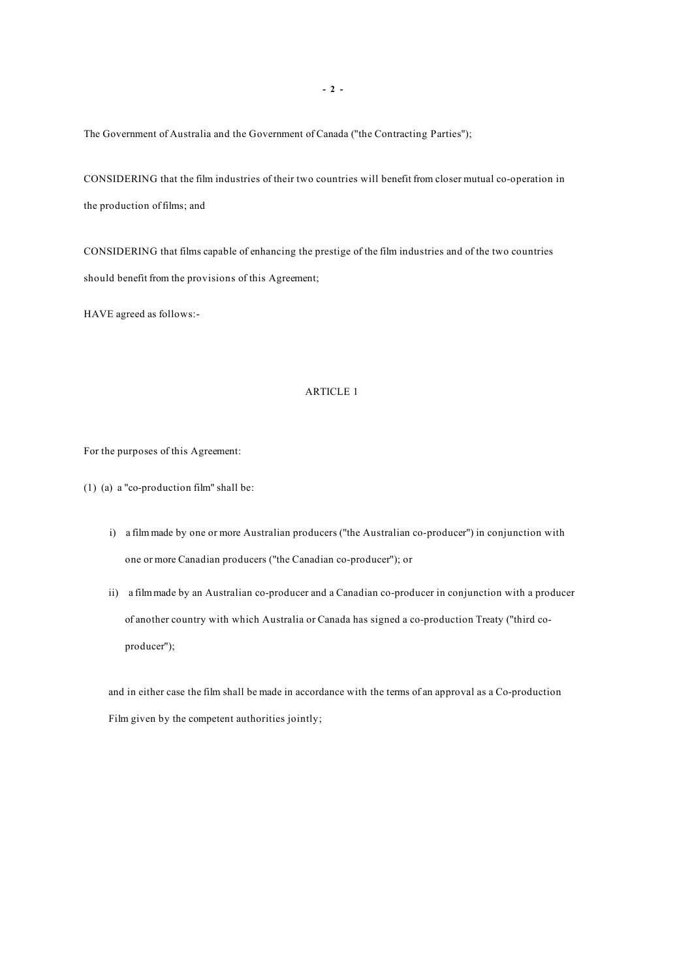The Government of Australia and the Government of Canada ("the Contracting Parties");

CONSIDERING that the film industries of their two countries will benefit from closer mutual co-operation in the production offilms; and

CONSIDERING that films capable of enhancing the prestige of the film industries and of the two countries should benefit from the provisions of this Agreement;

HAVE agreed as follows:-

## ARTICLE 1

For the purposes of this Agreement:

(1) (a) a "co-production film" shall be:

- i) a film made by one or more Australian producers ("the Australian co-producer") in conjunction with one or more Canadian producers ("the Canadian co-producer"); or
- ii) a filmmade by an Australian co-producer and a Canadian co-producer in conjunction with a producer of another country with which Australia or Canada has signed a co-production Treaty ("third coproducer");

and in either case the film shall be made in accordance with the terms of an approval as a Co-production Film given by the competent authorities jointly;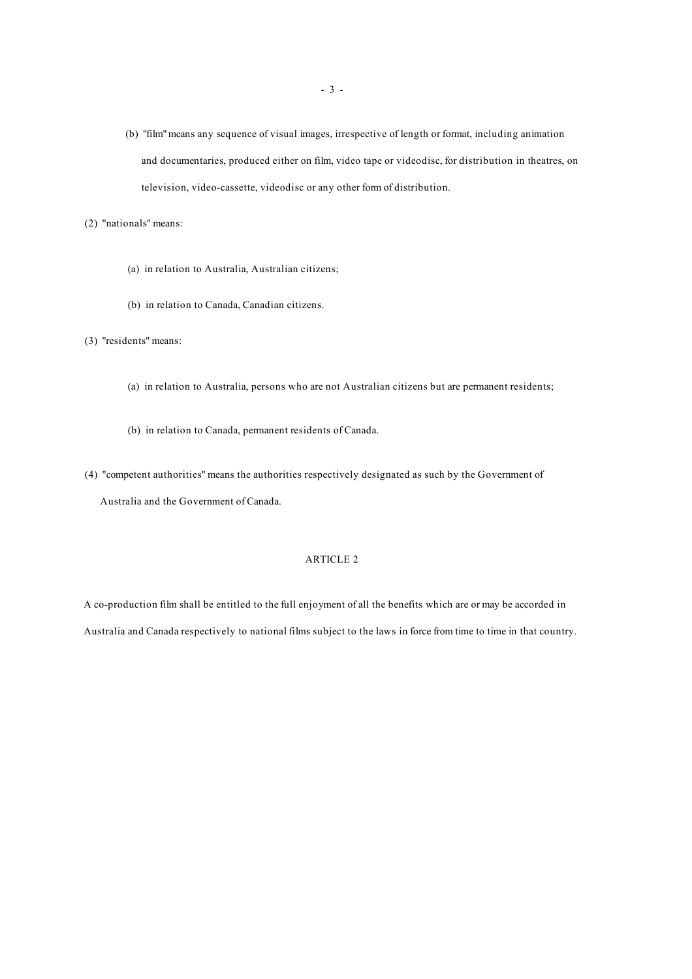- (b) "film"means any sequence of visual images, irrespective of length or format, including animation and documentaries, produced either on film, video tape or videodisc, for distribution in theatres, on television, video-cassette, videodisc or any other form of distribution.
- (2) "nationals" means:
	- (a) in relation to Australia, Australian citizens;
	- (b) in relation to Canada, Canadian citizens.
- (3) "residents" means:
	- (a) in relation to Australia, persons who are not Australian citizens but are permanent residents;
	- (b) in relation to Canada, permanent residents of Canada.
- (4) "competent authorities" means the authorities respectively designated as such by the Government of Australia and the Government of Canada.

## ARTICLE 2

A co-production film shall be entitled to the full enjoyment of all the benefits which are or may be accorded in Australia and Canada respectively to national films subject to the laws in force from time to time in that country.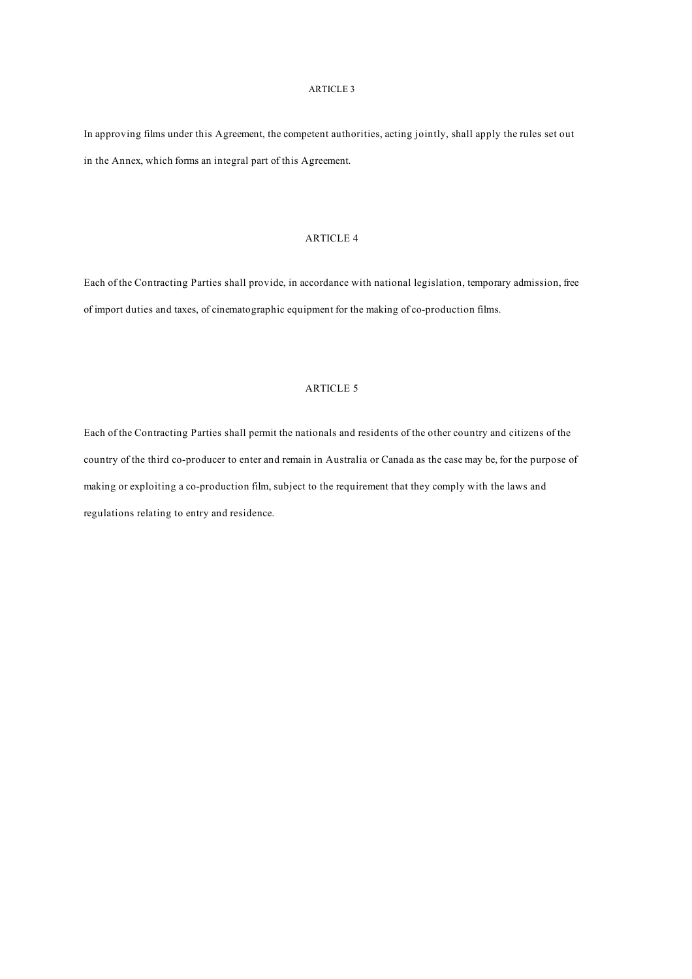### ARTICLE 3

In approving films under this Agreement, the competent authorities, acting jointly, shall apply the rules set out in the Annex, which forms an integral part of this Agreement.

### ARTICLE 4

Each of the Contracting Parties shall provide, in accordance with national legislation, temporary admission, free of import duties and taxes, of cinematographic equipment for the making of co-production films.

## ARTICLE 5

Each of the Contracting Parties shall permit the nationals and residents of the other country and citizens of the country of the third co-producer to enter and remain in Australia or Canada as the case may be, for the purpose of making or exploiting a co-production film, subject to the requirement that they comply with the laws and regulations relating to entry and residence.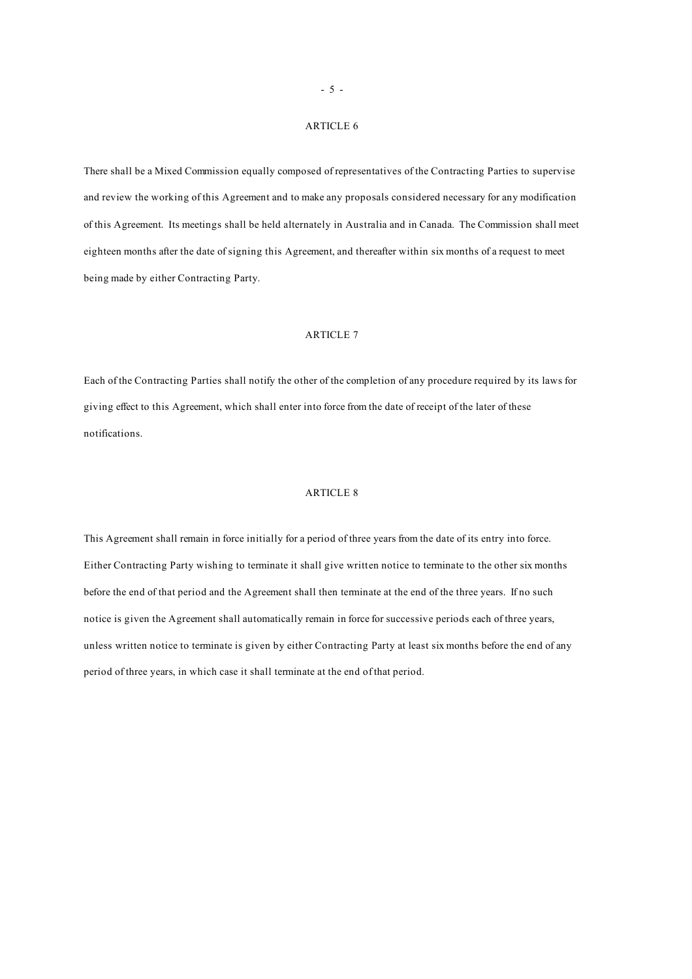#### ARTICLE 6

There shall be a Mixed Commission equally composed of representatives of the Contracting Parties to supervise and review the working of this Agreement and to make any proposals considered necessary for any modification of this Agreement. Its meetings shall be held alternately in Australia and in Canada. The Commission shall meet eighteen months after the date of signing this Agreement, and thereafter within six months of a request to meet being made by either Contracting Party.

#### ARTICLE 7

Each of the Contracting Parties shall notify the other of the completion of any procedure required by its laws for giving effect to this Agreement, which shall enter into force from the date of receipt of the later of these notifications.

### ARTICLE 8

This Agreement shall remain in force initially for a period of three years from the date of its entry into force. Either Contracting Party wishing to terminate it shall give written notice to terminate to the other six months before the end of that period and the Agreement shall then terminate at the end of the three years. If no such notice is given the Agreement shall automatically remain in force for successive periods each of three years, unless written notice to terminate is given by either Contracting Party at least six months before the end of any period of three years, in which case it shall terminate at the end of that period.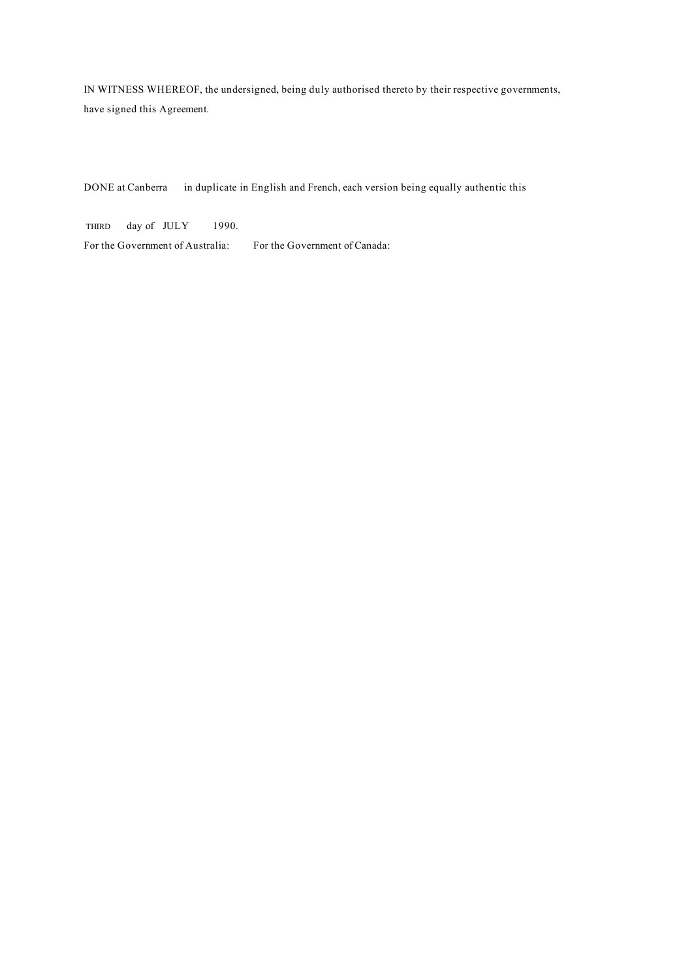IN WITNESS WHEREOF, the undersigned, being duly authorised thereto by their respective governments, have signed this Agreement.

DONE at Canberra in duplicate in English and French, each version being equally authentic this

THIRD day of JULY 1990. For the Government of Australia: For the Government of Canada: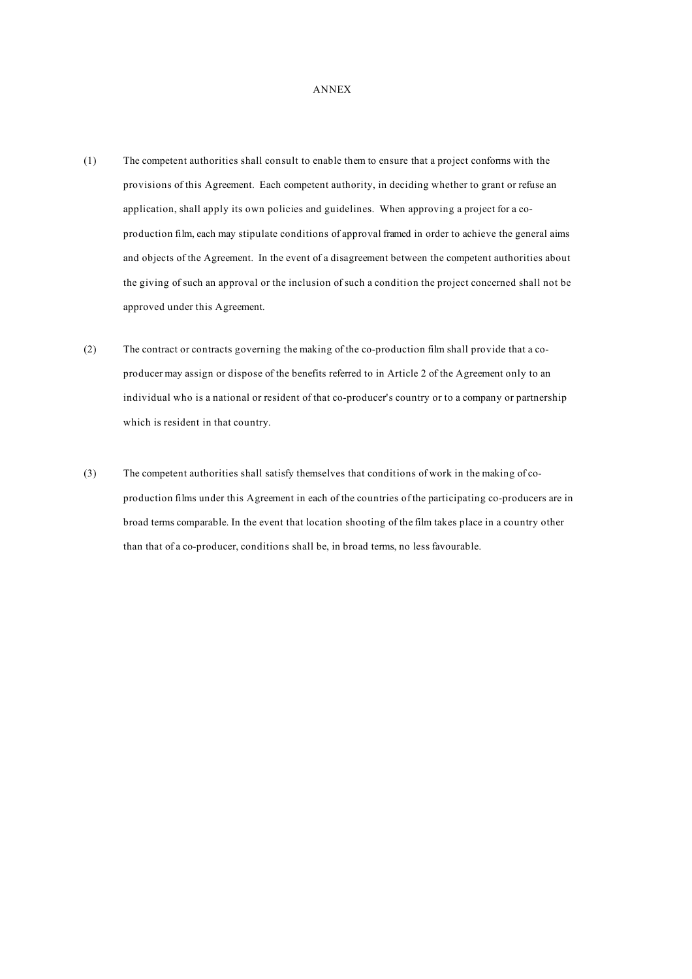#### ANNEX

- (1) The competent authorities shall consult to enable them to ensure that a project conforms with the provisions of this Agreement. Each competent authority, in deciding whether to grant or refuse an application, shall apply its own policies and guidelines. When approving a project for a coproduction film, each may stipulate conditions of approval framed in order to achieve the general aims and objects of the Agreement. In the event of a disagreement between the competent authorities about the giving of such an approval or the inclusion of such a condition the project concerned shall not be approved under this Agreement.
- (2) The contract or contracts governing the making of the co-production film shall provide that a coproducer may assign or dispose of the benefits referred to in Article 2 of the Agreement only to an individual who is a national or resident of that co-producer's country or to a company or partnership which is resident in that country.
- (3) The competent authorities shall satisfy themselves that conditions of work in the making of coproduction films under this Agreement in each of the countries of the participating co-producers are in broad terms comparable. In the event that location shooting of the film takes place in a country other than that of a co-producer, conditions shall be, in broad terms, no less favourable.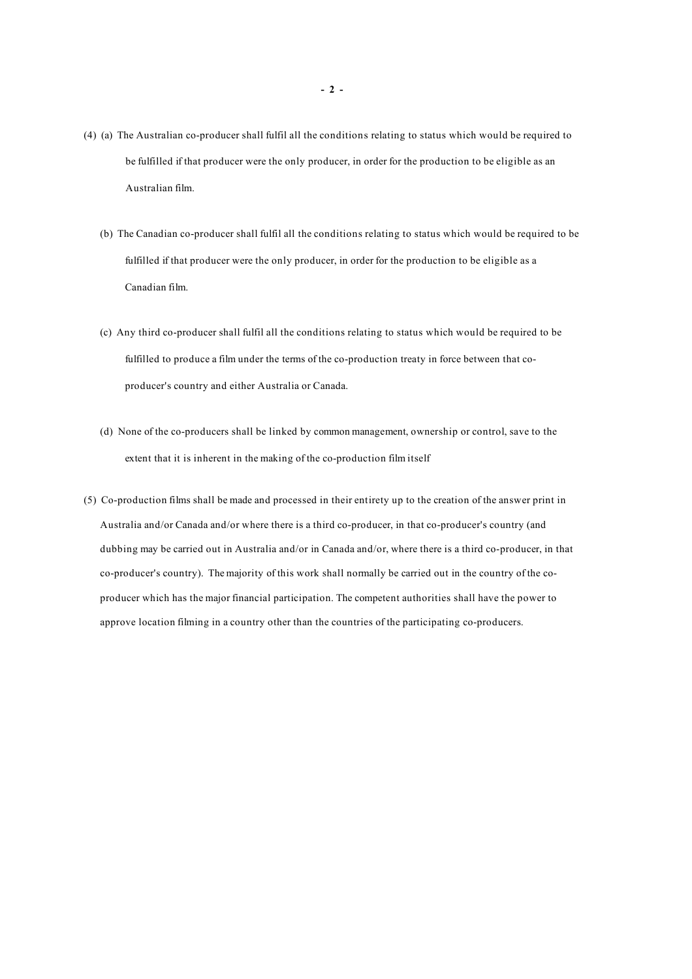- (4) (a) The Australian co-producer shall fulfil all the conditions relating to status which would be required to be fulfilled if that producer were the only producer, in order for the production to be eligible as an Australian film.
	- (b) The Canadian co-producer shall fulfil all the conditions relating to status which would be required to be fulfilled if that producer were the only producer, in order for the production to be eligible as a Canadian film.
	- (c) Any third co-producer shall fulfil all the conditions relating to status which would be required to be fulfilled to produce a film under the terms of the co-production treaty in force between that coproducer's country and either Australia or Canada.
	- (d) None of the co-producers shall be linked by common management, ownership or control, save to the extent that it is inherent in the making of the co-production film itself
- (5) Co-production films shall be made and processed in their entirety up to the creation of the answer print in Australia and/or Canada and/or where there is a third co-producer, in that co-producer's country (and dubbing may be carried out in Australia and/or in Canada and/or, where there is a third co-producer, in that co-producer's country). The majority of this work shall normally be carried out in the country of the coproducer which has the major financial participation. The competent authorities shall have the power to approve location filming in a country other than the countries of the participating co-producers.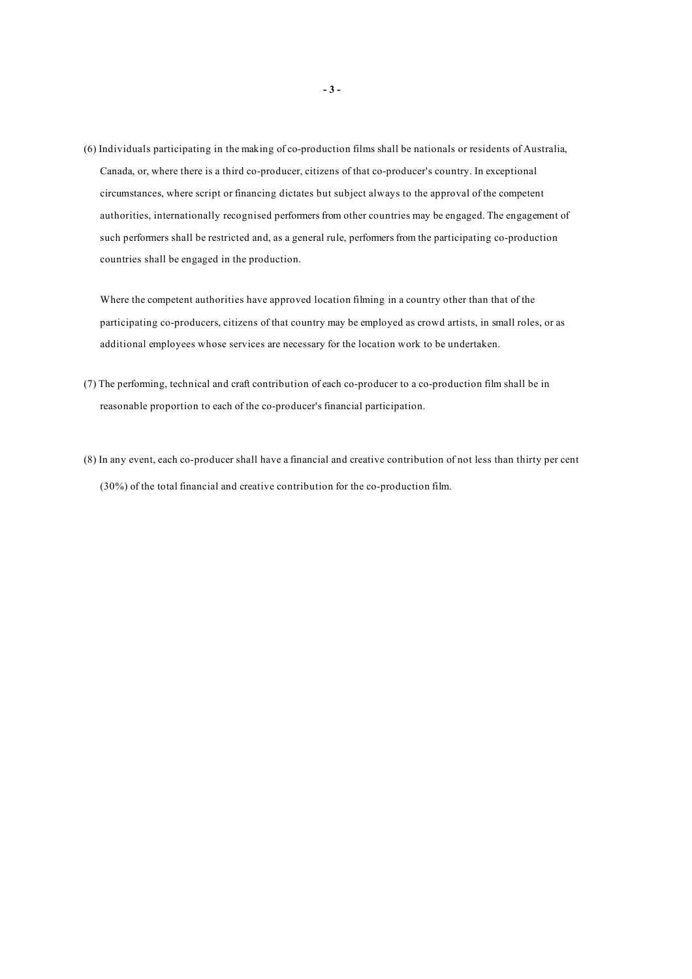(6) Individuals participating in the making of co-production films shall be nationals or residents of Australia, Canada, or, where there is a third co-producer, citizens of that co-producer's country. In exceptional circumstances, where script or financing dictates but subject always to the approval of the competent authorities, internationally recognised performers from other countries may be engaged. The engagement of such performers shall be restricted and, as a general rule, performers from the participating co-production countries shall be engaged in the production.

Where the competent authorities have approved location filming in a country other than that of the participating co-producers, citizens of that country may be employed as crowd artists, in small roles, or as additional employees whose services are necessary for the location work to be undertaken.

- (7) The performing, technical and craft contribution of each co-producer to a co-production film shall be in reasonable proportion to each of the co-producer's financial participation.
- (8) In any event, each co-producer shall have a financial and creative contribution of not less than thirty per cent (30%) of the total financial and creative contribution for the co-production film.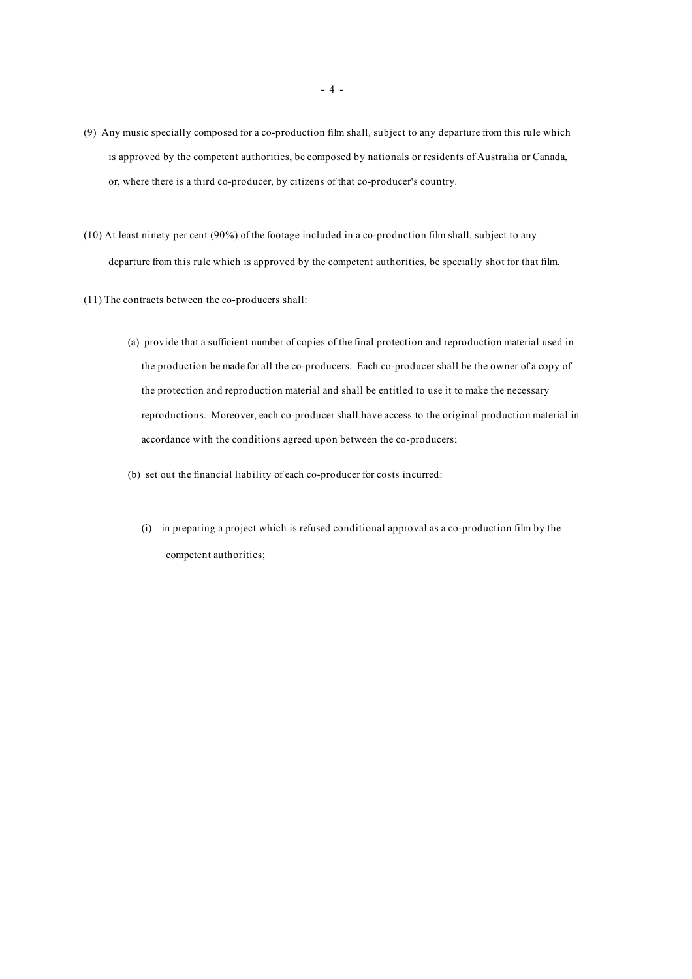- (9) Any music specially composed for a co-production film shall*,* subject to any departure from this rule which is approved by the competent authorities, be composed by nationals or residents of Australia or Canada, or, where there is a third co-producer, by citizens of that co-producer's country.
- (10) At least ninety per cent (90%) of the footage included in a co-production film shall, subject to any departure from this rule which is approved by the competent authorities, be specially shot for that film.
- (11) The contracts between the co-producers shall:
	- (a) provide that a sufficient number of copies of the final protection and reproduction material used in the production be made for all the co-producers. Each co-producer shall be the owner of a copy of the protection and reproduction material and shall be entitled to use it to make the necessary reproductions. Moreover, each co-producer shall have access to the original production material in accordance with the conditions agreed upon between the co-producers;
	- (b) set out the financial liability of each co-producer for costs incurred:
		- (i) in preparing a project which is refused conditional approval as a co-production film by the competent authorities;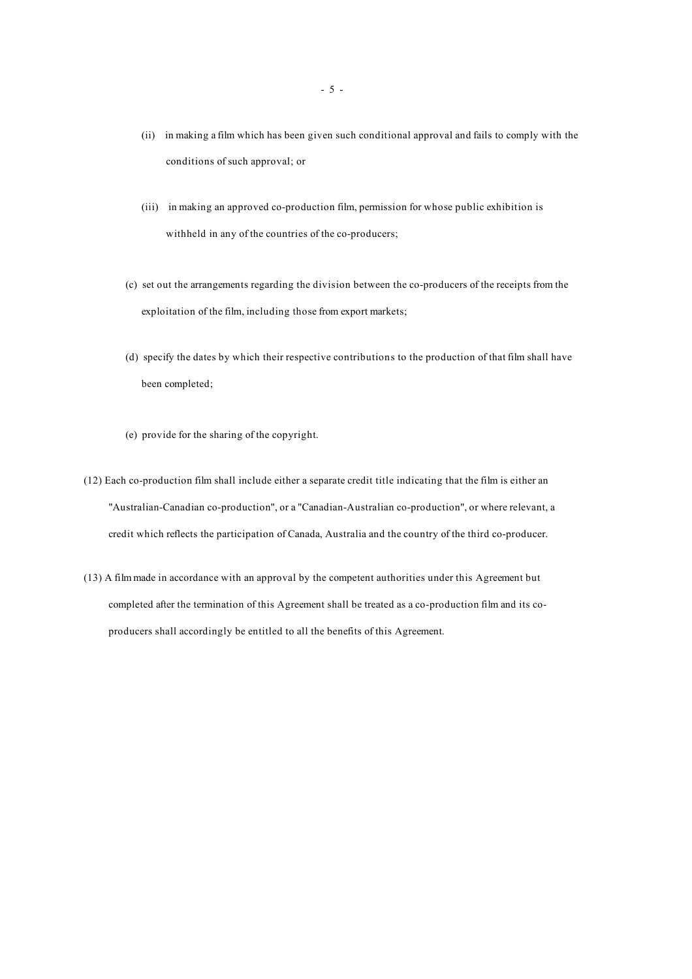- (ii) in making a film which has been given such conditional approval and fails to comply with the conditions of such approval; or
- (iii) in making an approved co-production film, permission for whose public exhibition is withheld in any of the countries of the co-producers;
- (c) set out the arrangements regarding the division between the co-producers of the receipts from the exploitation of the film, including those from export markets;
- (d) specify the dates by which their respective contributions to the production of that film shall have been completed;
- (e) provide for the sharing of the copyright.
- (12) Each co-production film shall include either a separate credit title indicating that the film is either an "Australian-Canadian co-production", or a "Canadian-Australian co-production", or where relevant, a credit which reflects the participation of Canada, Australia and the country of the third co-producer.
- (13) A film made in accordance with an approval by the competent authorities under this Agreement but completed after the termination of this Agreement shall be treated as a co-production film and its coproducers shall accordingly be entitled to all the benefits of this Agreement.